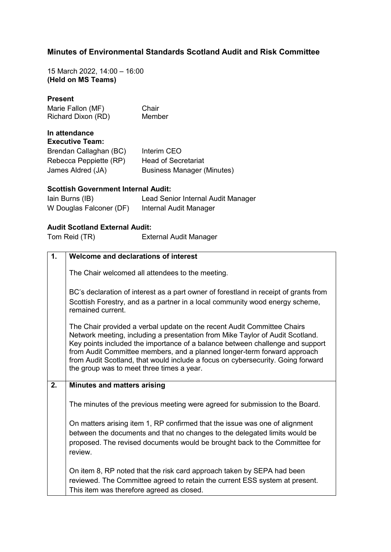## **Minutes of Environmental Standards Scotland Audit and Risk Committee**

15 March 2022, 14:00 – 16:00 **(Held on MS Teams)**

#### **Present**

Marie Fallon (MF) Chair Richard Dixon (RD) Member

# **In attendance**

| <b>Executive Team:</b> |                                   |
|------------------------|-----------------------------------|
| Brendan Callaghan (BC) | Interim CEO                       |
| Rebecca Peppiette (RP) | <b>Head of Secretariat</b>        |
| James Aldred (JA)      | <b>Business Manager (Minutes)</b> |

## **Scottish Government Internal Audit:**

| lain Burns (IB)         | Lead Senior Internal Audit Manager |
|-------------------------|------------------------------------|
| W Douglas Falconer (DF) | Internal Audit Manager             |

## **Audit Scotland External Audit:**

Tom Reid (TR) External Audit Manager

| 1. | Welcome and declarations of interest                                                                                                                                                                                                                                                                                                                                                                                                                  |
|----|-------------------------------------------------------------------------------------------------------------------------------------------------------------------------------------------------------------------------------------------------------------------------------------------------------------------------------------------------------------------------------------------------------------------------------------------------------|
|    | The Chair welcomed all attendees to the meeting.                                                                                                                                                                                                                                                                                                                                                                                                      |
|    | BC's declaration of interest as a part owner of forestland in receipt of grants from<br>Scottish Forestry, and as a partner in a local community wood energy scheme,<br>remained current                                                                                                                                                                                                                                                              |
|    | The Chair provided a verbal update on the recent Audit Committee Chairs<br>Network meeting, including a presentation from Mike Taylor of Audit Scotland.<br>Key points included the importance of a balance between challenge and support<br>from Audit Committee members, and a planned longer-term forward approach<br>from Audit Scotland, that would include a focus on cybersecurity. Going forward<br>the group was to meet three times a year. |
| 2. | <b>Minutes and matters arising</b>                                                                                                                                                                                                                                                                                                                                                                                                                    |
|    | The minutes of the previous meeting were agreed for submission to the Board.                                                                                                                                                                                                                                                                                                                                                                          |
|    | On matters arising item 1, RP confirmed that the issue was one of alignment<br>between the documents and that no changes to the delegated limits would be<br>proposed. The revised documents would be brought back to the Committee for<br>review.                                                                                                                                                                                                    |
|    | On item 8, RP noted that the risk card approach taken by SEPA had been<br>reviewed. The Committee agreed to retain the current ESS system at present.<br>This item was therefore agreed as closed.                                                                                                                                                                                                                                                    |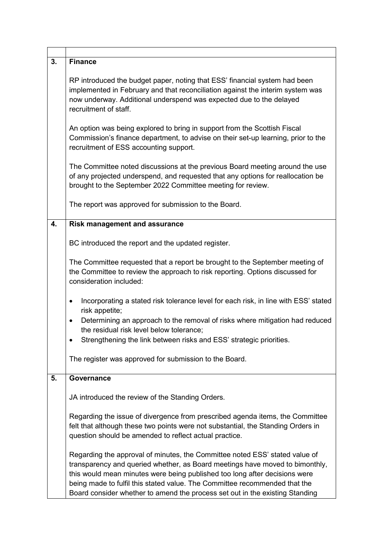| 3. | Finance                                                                                                                                                                                                                                                                                                                                                                                                 |
|----|---------------------------------------------------------------------------------------------------------------------------------------------------------------------------------------------------------------------------------------------------------------------------------------------------------------------------------------------------------------------------------------------------------|
|    | RP introduced the budget paper, noting that ESS' financial system had been<br>implemented in February and that reconciliation against the interim system was<br>now underway. Additional underspend was expected due to the delayed<br>recruitment of staff.                                                                                                                                            |
|    | An option was being explored to bring in support from the Scottish Fiscal<br>Commission's finance department, to advise on their set-up learning, prior to the<br>recruitment of ESS accounting support.                                                                                                                                                                                                |
|    | The Committee noted discussions at the previous Board meeting around the use<br>of any projected underspend, and requested that any options for reallocation be<br>brought to the September 2022 Committee meeting for review.                                                                                                                                                                          |
|    | The report was approved for submission to the Board.                                                                                                                                                                                                                                                                                                                                                    |
| 4. | <b>Risk management and assurance</b>                                                                                                                                                                                                                                                                                                                                                                    |
|    | BC introduced the report and the updated register.                                                                                                                                                                                                                                                                                                                                                      |
|    | The Committee requested that a report be brought to the September meeting of<br>the Committee to review the approach to risk reporting. Options discussed for<br>consideration included:                                                                                                                                                                                                                |
|    | Incorporating a stated risk tolerance level for each risk, in line with ESS' stated<br>$\bullet$<br>risk appetite;                                                                                                                                                                                                                                                                                      |
|    | Determining an approach to the removal of risks where mitigation had reduced<br>$\bullet$<br>the residual risk level below tolerance;                                                                                                                                                                                                                                                                   |
|    | Strengthening the link between risks and ESS' strategic priorities.                                                                                                                                                                                                                                                                                                                                     |
|    | The register was approved for submission to the Board.                                                                                                                                                                                                                                                                                                                                                  |
| 5. | Governance                                                                                                                                                                                                                                                                                                                                                                                              |
|    | JA introduced the review of the Standing Orders.                                                                                                                                                                                                                                                                                                                                                        |
|    | Regarding the issue of divergence from prescribed agenda items, the Committee<br>felt that although these two points were not substantial, the Standing Orders in<br>question should be amended to reflect actual practice.                                                                                                                                                                             |
|    | Regarding the approval of minutes, the Committee noted ESS' stated value of<br>transparency and queried whether, as Board meetings have moved to bimonthly,<br>this would mean minutes were being published too long after decisions were<br>being made to fulfil this stated value. The Committee recommended that the<br>Board consider whether to amend the process set out in the existing Standing |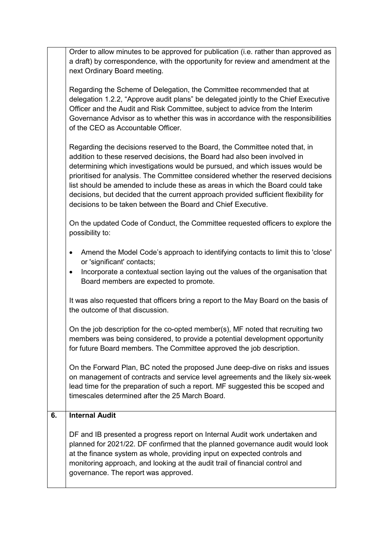Order to allow minutes to be approved for publication (i.e. rather than approved as a draft) by correspondence, with the opportunity for review and amendment at the next Ordinary Board meeting.

Regarding the Scheme of Delegation, the Committee recommended that at delegation 1.2.2, "Approve audit plans" be delegated jointly to the Chief Executive Officer and the Audit and Risk Committee, subject to advice from the Interim Governance Advisor as to whether this was in accordance with the responsibilities of the CEO as Accountable Officer.

Regarding the decisions reserved to the Board, the Committee noted that, in addition to these reserved decisions, the Board had also been involved in determining which investigations would be pursued, and which issues would be prioritised for analysis. The Committee considered whether the reserved decisions list should be amended to include these as areas in which the Board could take decisions, but decided that the current approach provided sufficient flexibility for decisions to be taken between the Board and Chief Executive.

On the updated Code of Conduct, the Committee requested officers to explore the possibility to:

- Amend the Model Code's approach to identifying contacts to limit this to 'close' or 'significant' contacts;
- Incorporate a contextual section laying out the values of the organisation that Board members are expected to promote.

It was also requested that officers bring a report to the May Board on the basis of the outcome of that discussion.

On the job description for the co-opted member(s), MF noted that recruiting two members was being considered, to provide a potential development opportunity for future Board members. The Committee approved the job description.

On the Forward Plan, BC noted the proposed June deep-dive on risks and issues on management of contracts and service level agreements and the likely six-week lead time for the preparation of such a report. MF suggested this be scoped and timescales determined after the 25 March Board.

#### **6. Internal Audit**

DF and IB presented a progress report on Internal Audit work undertaken and planned for 2021/22. DF confirmed that the planned governance audit would look at the finance system as whole, providing input on expected controls and monitoring approach, and looking at the audit trail of financial control and governance. The report was approved.